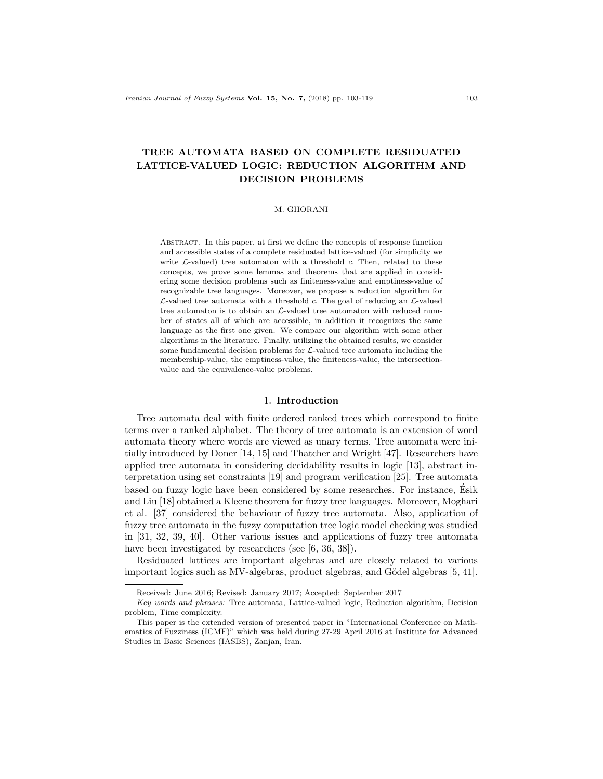# TREE AUTOMATA BASED ON COMPLETE RESIDUATED LATTICE-VALUED LOGIC: REDUCTION ALGORITHM AND DECISION PROBLEMS

### M. GHORANI

Abstract. In this paper, at first we define the concepts of response function and accessible states of a complete residuated lattice-valued (for simplicity we write  $\mathcal{L}\text{-valued}$  tree automaton with a threshold c. Then, related to these concepts, we prove some lemmas and theorems that are applied in considering some decision problems such as finiteness-value and emptiness-value of recognizable tree languages. Moreover, we propose a reduction algorithm for  $\mathcal{L}\text{-valued tree automata with a threshold } c$ . The goal of reducing an  $\mathcal{L}\text{-valued}$ tree automaton is to obtain an  $\mathcal{L}\text{-valued}$  tree automaton with reduced number of states all of which are accessible, in addition it recognizes the same language as the first one given. We compare our algorithm with some other algorithms in the literature. Finally, utilizing the obtained results, we consider some fundamental decision problems for  $\mathcal{L}\text{-}\text{valued tree automata including the}$ membership-value, the emptiness-value, the finiteness-value, the intersectionvalue and the equivalence-value problems.

## 1. Introduction

Tree automata deal with finite ordered ranked trees which correspond to finite terms over a ranked alphabet. The theory of tree automata is an extension of word automata theory where words are viewed as unary terms. Tree automata were initially introduced by Doner [14, 15] and Thatcher and Wright [47]. Researchers have applied tree automata in considering decidability results in logic [13], abstract interpretation using set constraints [19] and program verification [25]. Tree automata based on fuzzy logic have been considered by some researches. For instance, Esik ´ and Liu [18] obtained a Kleene theorem for fuzzy tree languages. Moreover, Moghari et al. [37] considered the behaviour of fuzzy tree automata. Also, application of fuzzy tree automata in the fuzzy computation tree logic model checking was studied in [31, 32, 39, 40]. Other various issues and applications of fuzzy tree automata have been investigated by researchers (see [6, 36, 38]).

Residuated lattices are important algebras and are closely related to various important logics such as MV-algebras, product algebras, and Gödel algebras [5, 41].

Received: June 2016; Revised: January 2017; Accepted: September 2017

Key words and phrases: Tree automata, Lattice-valued logic, Reduction algorithm, Decision problem, Time complexity.

This paper is the extended version of presented paper in "International Conference on Mathematics of Fuzziness (ICMF)" which was held during 27-29 April 2016 at Institute for Advanced Studies in Basic Sciences (IASBS), Zanjan, Iran.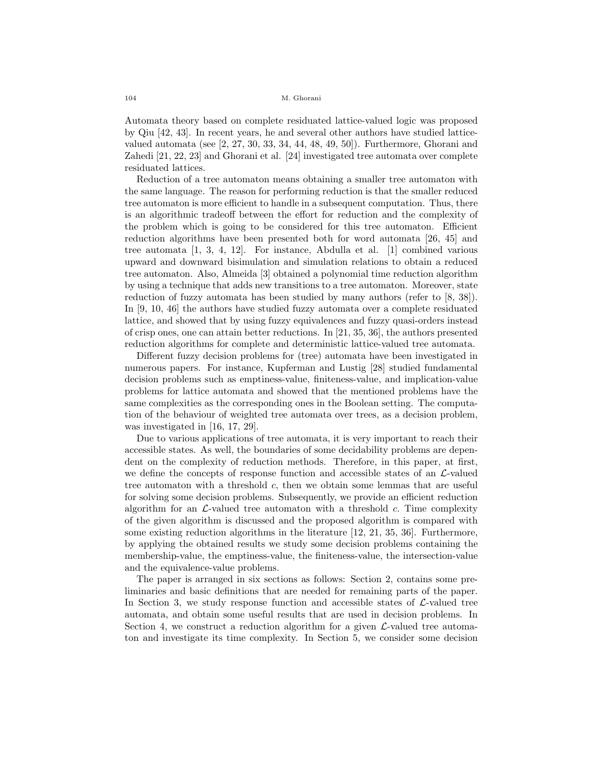Automata theory based on complete residuated lattice-valued logic was proposed by Qiu [42, 43]. In recent years, he and several other authors have studied latticevalued automata (see [2, 27, 30, 33, 34, 44, 48, 49, 50]). Furthermore, Ghorani and Zahedi [21, 22, 23] and Ghorani et al. [24] investigated tree automata over complete residuated lattices.

Reduction of a tree automaton means obtaining a smaller tree automaton with the same language. The reason for performing reduction is that the smaller reduced tree automaton is more efficient to handle in a subsequent computation. Thus, there is an algorithmic tradeoff between the effort for reduction and the complexity of the problem which is going to be considered for this tree automaton. Efficient reduction algorithms have been presented both for word automata [26, 45] and tree automata [1, 3, 4, 12]. For instance, Abdulla et al. [1] combined various upward and downward bisimulation and simulation relations to obtain a reduced tree automaton. Also, Almeida [3] obtained a polynomial time reduction algorithm by using a technique that adds new transitions to a tree automaton. Moreover, state reduction of fuzzy automata has been studied by many authors (refer to [8, 38]). In [9, 10, 46] the authors have studied fuzzy automata over a complete residuated lattice, and showed that by using fuzzy equivalences and fuzzy quasi-orders instead of crisp ones, one can attain better reductions. In [21, 35, 36], the authors presented reduction algorithms for complete and deterministic lattice-valued tree automata.

Different fuzzy decision problems for (tree) automata have been investigated in numerous papers. For instance, Kupferman and Lustig [28] studied fundamental decision problems such as emptiness-value, finiteness-value, and implication-value problems for lattice automata and showed that the mentioned problems have the same complexities as the corresponding ones in the Boolean setting. The computation of the behaviour of weighted tree automata over trees, as a decision problem, was investigated in [16, 17, 29].

Due to various applications of tree automata, it is very important to reach their accessible states. As well, the boundaries of some decidability problems are dependent on the complexity of reduction methods. Therefore, in this paper, at first, we define the concepts of response function and accessible states of an  $\mathcal{L}\text{-}$ valued tree automaton with a threshold c, then we obtain some lemmas that are useful for solving some decision problems. Subsequently, we provide an efficient reduction algorithm for an  $\mathcal{L}\text{-valued tree}$  automaton with a threshold c. Time complexity of the given algorithm is discussed and the proposed algorithm is compared with some existing reduction algorithms in the literature [12, 21, 35, 36]. Furthermore, by applying the obtained results we study some decision problems containing the membership-value, the emptiness-value, the finiteness-value, the intersection-value and the equivalence-value problems.

The paper is arranged in six sections as follows: Section 2, contains some preliminaries and basic definitions that are needed for remaining parts of the paper. In Section 3, we study response function and accessible states of  $\mathcal{L}\text{-valued tree}$ automata, and obtain some useful results that are used in decision problems. In Section 4, we construct a reduction algorithm for a given  $\mathcal{L}\text{-valued tree automa-}$ ton and investigate its time complexity. In Section 5, we consider some decision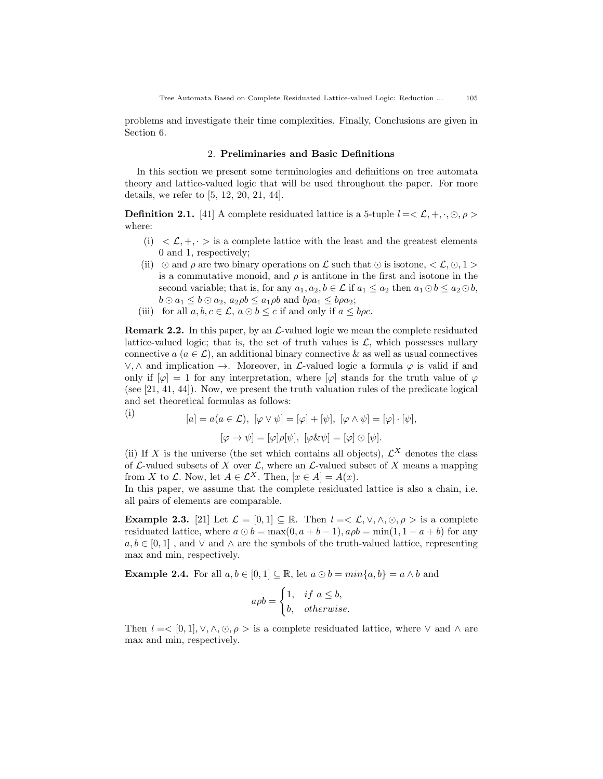problems and investigate their time complexities. Finally, Conclusions are given in Section 6.

### 2. Preliminaries and Basic Definitions

In this section we present some terminologies and definitions on tree automata theory and lattice-valued logic that will be used throughout the paper. For more details, we refer to [5, 12, 20, 21, 44].

**Definition 2.1.** [41] A complete residuated lattice is a 5-tuple  $l = \langle \mathcal{L}, +, \cdot, \odot, \rho \rangle$ where:

- $(i) < L, +, \cdot > i$  is a complete lattice with the least and the greatest elements 0 and 1, respectively;
- (ii)  $\odot$  and  $\rho$  are two binary operations on  $\mathcal L$  such that  $\odot$  is isotone,  $\lt \mathcal L, \odot, 1 >$ is a commutative monoid, and  $\rho$  is antitone in the first and isotone in the second variable; that is, for any  $a_1, a_2, b \in \mathcal{L}$  if  $a_1 \le a_2$  then  $a_1 \odot b \le a_2 \odot b$ ,  $b \odot a_1 \leq b \odot a_2$ ,  $a_2 \rho b \leq a_1 \rho b$  and  $b \rho a_1 \leq b \rho a_2$ ;
- (iii) for all  $a, b, c \in \mathcal{L}$ ,  $a \odot b \leq c$  if and only if  $a \leq b \rho c$ .

**Remark 2.2.** In this paper, by an  $\mathcal{L}\text{-}$  valued logic we mean the complete residuated lattice-valued logic; that is, the set of truth values is  $\mathcal{L}$ , which possesses nullary connective  $a (a \in \mathcal{L})$ , an additional binary connective & as well as usual connectives  $\lor$ ,  $\land$  and implication  $\rightarrow$ . Moreover, in *L*-valued logic a formula  $\varphi$  is valid if and only if  $[\varphi] = 1$  for any interpretation, where  $[\varphi]$  stands for the truth value of  $\varphi$ (see [21, 41, 44]). Now, we present the truth valuation rules of the predicate logical and set theoretical formulas as follows:

(i)  
\n
$$
[a] = a(a \in \mathcal{L}), \ [\varphi \vee \psi] = [\varphi] + [\psi], \ [\varphi \wedge \psi] = [\varphi] \cdot [\psi],
$$
\n
$$
[\varphi \to \psi] = [\varphi] \rho[\psi], \ [\varphi \& \psi] = [\varphi] \odot [\psi].
$$

(ii) If X is the universe (the set which contains all objects),  $\mathcal{L}^{X}$  denotes the class of  $\mathcal L$ -valued subsets of X over  $\mathcal L$ , where an  $\mathcal L$ -valued subset of X means a mapping from X to  $\mathcal L$ . Now, let  $A \in \mathcal L^X$ . Then,  $[x \in A] = A(x)$ .

In this paper, we assume that the complete residuated lattice is also a chain, i.e. all pairs of elements are comparable.

**Example 2.3.** [21] Let  $\mathcal{L} = [0,1] \subseteq \mathbb{R}$ . Then  $l = \langle \mathcal{L}, \vee, \wedge, \odot, \rho \rangle$  is a complete residuated lattice, where  $a \odot b = \max(0, a+b-1), a \rho b = \min(1, 1-a+b)$  for any  $a, b \in [0, 1]$ , and  $\vee$  and  $\wedge$  are the symbols of the truth-valued lattice, representing max and min, respectively.

**Example 2.4.** For all  $a, b \in [0, 1] \subseteq \mathbb{R}$ , let  $a \odot b = min\{a, b\} = a \wedge b$  and

$$
a\rho b = \begin{cases} 1, & if \ a \leq b, \\ b, & otherwise. \end{cases}
$$

Then  $l = \langle [0,1], \vee, \wedge, \odot, \rho \rangle$  is a complete residuated lattice, where  $\vee$  and  $\wedge$  are max and min, respectively.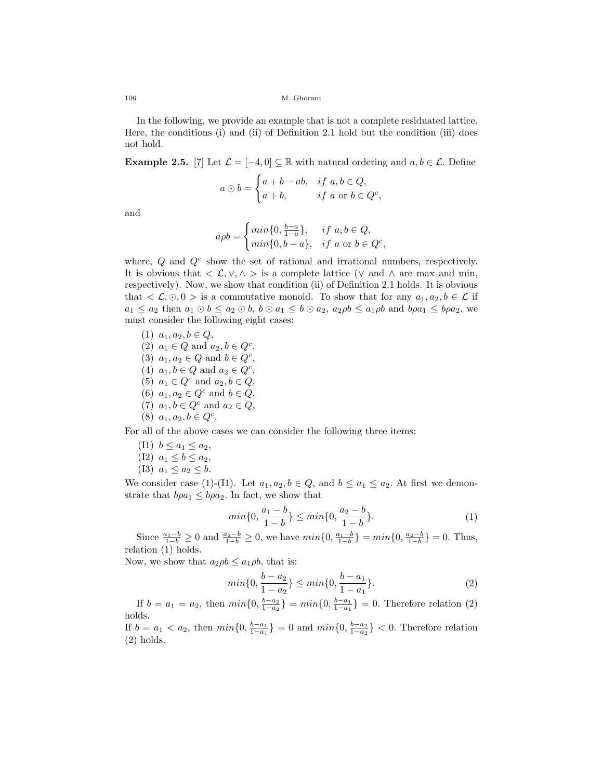In the following, we provide an example that is not a complete residuated lattice. Here, the conditions (i) and (ii) of Definition 2.1 hold but the condition (iii) does not hold.

**Example 2.5.** [7] Let  $\mathcal{L} = [-4, 0] \subseteq \mathbb{R}$  with natural ordering and  $a, b \in \mathcal{L}$ . Define

$$
a \odot b = \begin{cases} a+b-ab, & \text{if } a, b \in Q, \\ a+b, & \text{if } a \text{ or } b \in Q^c, \end{cases}
$$

and

$$
a\rho b = \begin{cases} min\{0, \frac{b-a}{1-a}\}, & if \ a,b \in Q, \\ min\{0,b-a\}, & if \ a \text{ or } b \in Q^c, \end{cases}
$$

where,  $Q$  and  $Q<sup>c</sup>$  show the set of rational and irrational numbers, respectively. It is obvious that  $\langle \mathcal{L}, \vee, \wedge \rangle$  is a complete lattice  $(\vee \text{ and } \wedge \text{ are } \text{max} \text{ and } \text{min},\$ respectively). Now, we show that condition (ii) of Definition 2.1 holds. It is obvious that  $\langle \mathcal{L}, \odot, 0 \rangle$  is a commutative monoid. To show that for any  $a_1, a_2, b \in \mathcal{L}$  if  $a_1 \leq a_2$  then  $a_1 \odot b \leq a_2 \odot b$ ,  $b \odot a_1 \leq b \odot a_2$ ,  $a_2 \rho b \leq a_1 \rho b$  and  $b \rho a_1 \leq b \rho a_2$ , we must consider the following eight cases:

(1)  $a_1, a_2, b \in Q$ , (2)  $a_1 \in Q$  and  $a_2, b \in Q^c$ , (3)  $a_1, a_2 \in Q$  and  $b \in Q^c$ , (4)  $a_1, b \in Q$  and  $a_2 \in Q^c$ , (5)  $a_1 \in Q^c$  and  $a_2, b \in Q$ , (6)  $a_1, a_2 \in Q^c$  and  $b \in Q$ , (7)  $a_1, b \in Q^c$  and  $a_2 \in Q$ , (8)  $a_1, a_2, b \in Q^c$ . For all of the above cases we can consider the following three items:

- (I1)  $b \le a_1 \le a_2$ ,
- (I2)  $a_1 \leq b \leq a_2$ , (I3)  $a_1 \le a_2 \le b$ .

We consider case (1)-(I1). Let  $a_1, a_2, b \in Q$ , and  $b \le a_1 \le a_2$ . At first we demonstrate that  $b\rho a_1 \leq b\rho a_2$ . In fact, we show that

$$
min\{0, \frac{a_1 - b}{1 - b}\} \le min\{0, \frac{a_2 - b}{1 - b}\}.
$$
\n(1)

Since  $\frac{a_1-b}{1-b} \ge 0$  and  $\frac{a_2-b}{1-b} \ge 0$ , we have  $min\{0, \frac{a_1-b}{1-b}\} = min\{0, \frac{a_2-b}{1-b}\} = 0$ . Thus, relation (1) holds.

Now, we show that  $a_2 \rho b \leq a_1 \rho b$ , that is:

$$
min\{0, \frac{b-a_2}{1-a_2}\} \le min\{0, \frac{b-a_1}{1-a_1}\}.
$$
\n(2)

If  $b = a_1 = a_2$ , then  $min\{0, \frac{b-a_2}{1-a_2}\} = min\{0, \frac{b-a_1}{1-a_1}\} = 0$ . Therefore relation (2) holds.

If  $b = a_1 < a_2$ , then  $min\{0, \frac{b-a_1}{1-a_1}\} = 0$  and  $min\{0, \frac{b-a_2}{1-a_2}\} < 0$ . Therefore relation (2) holds.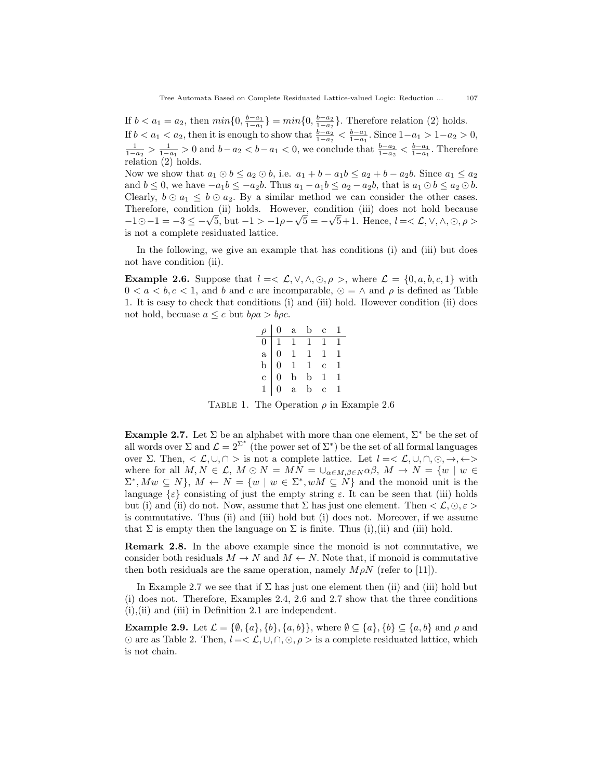If  $b < a_1 = a_2$ , then  $min\{0, \frac{b-a_1}{1-a_1}\} = min\{0, \frac{b-a_2}{1-a_2}\}$ . Therefore relation (2) holds. If  $b < a_1 < a_2$ , then it is enough to show that  $\frac{b-a_2}{1-a_2} < \frac{b-a_1}{1-a_1}$ . Since  $1-a_1 > 1-a_2 > 0$ ,  $\frac{1}{1-a_2}$  >  $\frac{1}{1-a_1}$  > 0 and  $b-a_2 < b-a_1 < 0$ , we conclude that  $\frac{b-a_2}{1-a_2} < \frac{b-a_1}{1-a_1}$ . Therefore relation (2) holds. Now we show that  $a_1 \odot b \leq a_2 \odot b$ , i.e.  $a_1 + b - a_1 b \leq a_2 + b - a_2 b$ . Since  $a_1 \leq a_2$ and  $b \leq 0$ , we have  $-a_1b \leq -a_2b$ . Thus  $a_1 - a_1b \leq a_2 - a_2b$ , that is  $a_1 \odot b \leq a_2 \odot b$ . Clearly,  $b \odot a_1 \leq b \odot a_2$ . By a similar method we can consider the other cases. Therefore, condition (ii) holds. However, condition (iii) does not hold because Therefore, condition (ii) holds. However, condition (iii) does not hold because  $-1 \odot -1 = -3 \le -\sqrt{5}$ , but  $-1 > -1\rho - \sqrt{5} = -\sqrt{5}+1$ . Hence,  $l = \langle \mathcal{L}, \vee, \wedge, \odot, \rho \rangle$ is not a complete residuated lattice.

In the following, we give an example that has conditions (i) and (iii) but does not have condition (ii).

**Example 2.6.** Suppose that  $l = \langle \mathcal{L}, \vee, \wedge, \odot, \rho \rangle$ , where  $\mathcal{L} = \{0, a, b, c, 1\}$  with  $0 \leq a \leq b, c \leq 1$ , and b and c are incomparable,  $\odot = \wedge$  and  $\rho$  is defined as Table 1. It is easy to check that conditions (i) and (iii) hold. However condition (ii) does not hold, becuase  $a \leq c$  but  $b\rho a > b\rho c$ .

|  | $\rho$   0 a b c 1                                                                                          |  |
|--|-------------------------------------------------------------------------------------------------------------|--|
|  |                                                                                                             |  |
|  |                                                                                                             |  |
|  |                                                                                                             |  |
|  |                                                                                                             |  |
|  | $\begin{array}{cccccccc} 0&1&1&1&1&1\\ a&0&1&1&1&1\\ b&0&1&1&c&1\\ c&0&b&b&1&1\\ 1&0&a&b&c&1\\ \end{array}$ |  |

TABLE 1. The Operation  $\rho$  in Example 2.6

**Example 2.7.** Let  $\Sigma$  be an alphabet with more than one element,  $\Sigma^*$  be the set of all words over  $\Sigma$  and  $\mathcal{L} = 2^{\Sigma^*}$  (the power set of  $\Sigma^*$ ) be the set of all formal languages over  $\Sigma$ . Then,  $\langle \mathcal{L}, \cup, \cap \rangle$  is not a complete lattice. Let  $l = \langle \mathcal{L}, \cup, \cap, \odot, \rightarrow, \leftarrow \rangle$ where for all  $M, N \in \mathcal{L}, M \odot N = MN = \cup_{\alpha \in M, \beta \in N} \alpha \beta, M \rightarrow N = \{w \mid w \in N\}$  $\Sigma^*$ ,  $Mw \subseteq N$ ,  $M \leftarrow N = \{w \mid w \in \Sigma^*$ ,  $wM \subseteq N$  and the monoid unit is the language  $\{\varepsilon\}$  consisting of just the empty string  $\varepsilon$ . It can be seen that (iii) holds but (i) and (ii) do not. Now, assume that  $\Sigma$  has just one element. Then  $\langle \mathcal{L}, \odot, \varepsilon \rangle$ is commutative. Thus (ii) and (iii) hold but (i) does not. Moreover, if we assume that  $\Sigma$  is empty then the language on  $\Sigma$  is finite. Thus (i),(ii) and (iii) hold.

Remark 2.8. In the above example since the monoid is not commutative, we consider both residuals  $M \to N$  and  $M \leftarrow N$ . Note that, if monoid is commutative then both residuals are the same operation, namely  $M \rho N$  (refer to [11]).

In Example 2.7 we see that if  $\Sigma$  has just one element then (ii) and (iii) hold but (i) does not. Therefore, Examples 2.4, 2.6 and 2.7 show that the three conditions (i),(ii) and (iii) in Definition 2.1 are independent.

**Example 2.9.** Let  $\mathcal{L} = \{\emptyset, \{a\}, \{b\}, \{a, b\}\}\$ , where  $\emptyset \subseteq \{a\}, \{b\} \subseteq \{a, b\}$  and  $\rho$  and  $\odot$  are as Table 2. Then,  $l = \langle \mathcal{L}, \cup, \cap, \odot, \rho \rangle$  is a complete residuated lattice, which is not chain.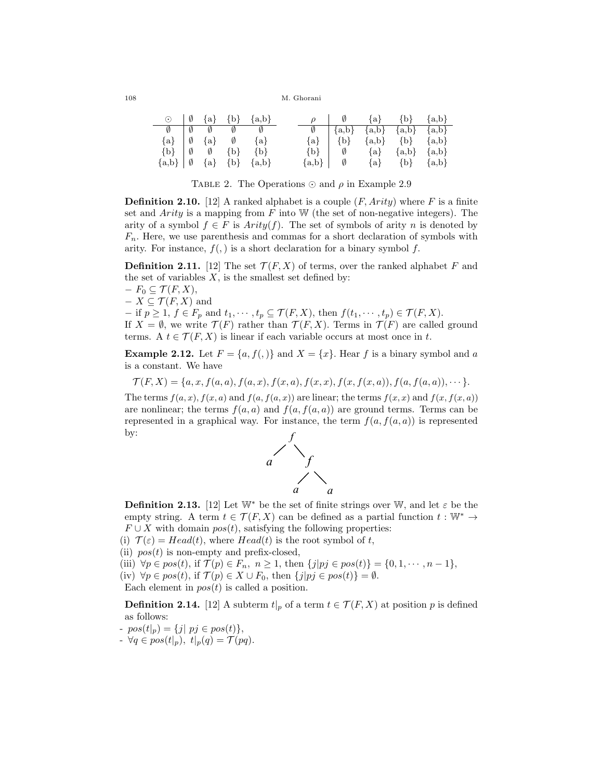|                                   |  |                                                             | $\odot$ $\emptyset$ {a} {b} {a,b}   |  |                       | $\rho$   $\emptyset$ {a} {b} {a,b}                                                    |                     |  |
|-----------------------------------|--|-------------------------------------------------------------|-------------------------------------|--|-----------------------|---------------------------------------------------------------------------------------|---------------------|--|
|                                   |  | $\emptyset$ $\emptyset$ $\emptyset$ $\emptyset$ $\emptyset$ |                                     |  |                       | $\emptyset$   {a,b} {a,b} {a,b} {a,b}                                                 |                     |  |
|                                   |  | $\{a\}$ $\emptyset$ $\{a\}$ $\emptyset$ $\{a\}$             |                                     |  |                       | ${a} \begin{bmatrix} b \end{bmatrix}$ ${a,b} \begin{bmatrix} b \end{bmatrix}$ ${a,b}$ |                     |  |
|                                   |  |                                                             | $\{b\}$ $\emptyset$ $\{b\}$ $\{b\}$ |  |                       | $\{b\}$ $\emptyset$ $\{a,b\}$ $\{a,b\}$                                               |                     |  |
| ${a,b}   \emptyset {a} {b} {a,b}$ |  |                                                             |                                     |  | $\{a,b\}$ $\emptyset$ |                                                                                       | ${a}$ ${b}$ ${a,b}$ |  |

TABLE 2. The Operations  $\odot$  and  $\rho$  in Example 2.9

**Definition 2.10.** [12] A ranked alphabet is a couple  $(F, Arity)$  where F is a finite set and Arity is a mapping from  $F$  into W (the set of non-negative integers). The arity of a symbol  $f \in F$  is  $Arity(f)$ . The set of symbols of arity n is denoted by  $F_n$ . Here, we use parenthesis and commas for a short declaration of symbols with arity. For instance,  $f(.)$  is a short declaration for a binary symbol f.

**Definition 2.11.** [12] The set  $\mathcal{T}(F, X)$  of terms, over the ranked alphabet F and the set of variables  $X$ , is the smallest set defined by:

 $-F_0 \subseteq \mathcal{T}(F,X),$  $- X \subseteq \mathcal{T}(F,X)$  and  $-$  if  $p \geq 1$ ,  $f \in F_p$  and  $t_1, \dots, t_p \subseteq \mathcal{T}(F, X)$ , then  $f(t_1, \dots, t_p) \in \mathcal{T}(F, X)$ . If  $X = \emptyset$ , we write  $\mathcal{T}(F)$  rather than  $\mathcal{T}(F, X)$ . Terms in  $\mathcal{T}(F)$  are called ground terms. A  $t \in \mathcal{T}(F, X)$  is linear if each variable occurs at most once in t.

**Example 2.12.** Let  $F = \{a, f(.)\}$  and  $X = \{x\}$ . Hear f is a binary symbol and a is a constant. We have

 $\mathcal{T}(F, X) = \{a, x, f(a, a), f(a, x), f(x, a), f(x, x), f(x, f(x, a)), f(a, f(a, a)), \cdots\}.$ 

The terms  $f(a, x)$ ,  $f(x, a)$  and  $f(a, f(a, x))$  are linear; the terms  $f(x, x)$  and  $f(x, f(x, a))$ are nonlinear; the terms  $f(a, a)$  and  $f(a, f(a, a))$  are ground terms. Terms can be represented in a graphical way. For instance, the term  $f(a, f(a, a))$  is represented by:



**Definition 2.13.** [12] Let W<sup>\*</sup> be the set of finite strings over W, and let  $\varepsilon$  be the empty string. A term  $t \in \mathcal{T}(F, X)$  can be defined as a partial function  $t : \mathbb{W}^* \to$  $F \cup X$  with domain  $pos(t)$ , satisfying the following properties:

(i)  $\mathcal{T}(\varepsilon) = Head(t)$ , where  $Head(t)$  is the root symbol of t,

(ii)  $pos(t)$  is non-empty and prefix-closed,

(iii)  $\forall p \in pos(t)$ , if  $\mathcal{T}(p) \in F_n$ ,  $n \geq 1$ , then  $\{j|pj \in pos(t)\} = \{0, 1, \dots, n-1\}$ ,

(iv)  $\forall p \in pos(t)$ , if  $\mathcal{T}(p) \in X \cup F_0$ , then  $\{j|pj \in pos(t)\} = \emptyset$ .

Each element in  $pos(t)$  is called a position.

**Definition 2.14.** [12] A subterm  $t|_p$  of a term  $t \in \mathcal{T}(F, X)$  at position p is defined as follows:

-  $pos(t|_p) = \{j | pj \in pos(t) \},\$ 

 $\forall q \in pos(t|_p), \ t|_p(q) = \mathcal{T}(pq).$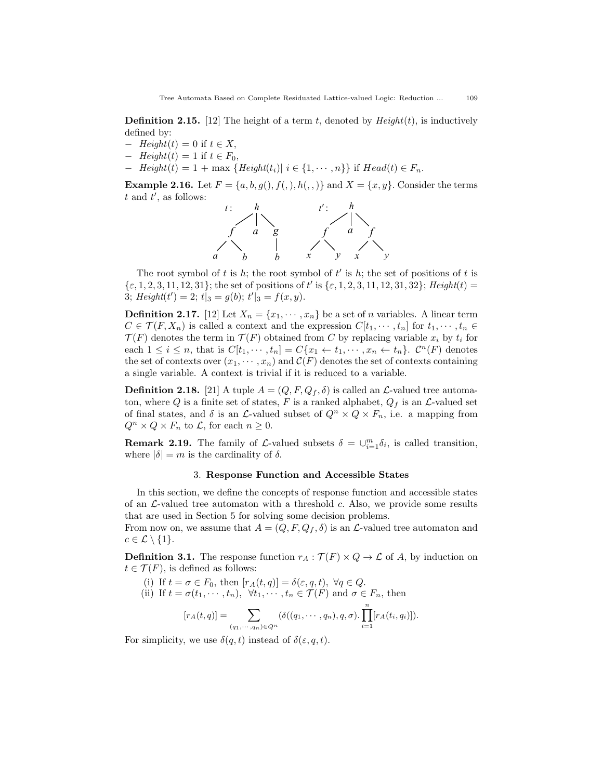**Definition 2.15.** [12] The height of a term t, denoted by  $Height(t)$ , is inductively defined by:

- $-$  Height(t) = 0 if  $t \in X$ ,
- $-$  Height(t) = 1 if  $t \in F_0$ ,
- $-I (Height(t) = 1 + max {Height(t_i) | i \in {1, \cdots, n}}$  if  $Head(t) \in F_n$ .

**Example 2.16.** Let  $F = \{a, b, g(), f(), h(), \}$  and  $X = \{x, y\}$ . Consider the terms  $t$  and  $t'$ , as follows:



The root symbol of t is h; the root symbol of  $t'$  is h; the set of positions of t is  $\{\varepsilon, 1, 2, 3, 11, 12, 31\}$ ; the set of positions of t' is  $\{\varepsilon, 1, 2, 3, 11, 12, 31, 32\}$ ; Height(t) = 3; Height(t') = 2;  $t|_3 = g(b)$ ;  $t'|_3 = f(x, y)$ .

**Definition 2.17.** [12] Let  $X_n = \{x_1, \dots, x_n\}$  be a set of n variables. A linear term  $C \in \mathcal{T}(F, X_n)$  is called a context and the expression  $C[t_1, \dots, t_n]$  for  $t_1, \dots, t_n \in$  $\mathcal{T}(F)$  denotes the term in  $\mathcal{T}(F)$  obtained from C by replacing variable  $x_i$  by  $t_i$  for each  $1 \leq i \leq n$ , that is  $C[t_1, \dots, t_n] = C\{x_1 \leftarrow t_1, \dots, x_n \leftarrow t_n\}$ .  $C^n(F)$  denotes the set of contexts over  $(x_1, \dots, x_n)$  and  $\mathcal{C}(F)$  denotes the set of contexts containing a single variable. A context is trivial if it is reduced to a variable.

**Definition 2.18.** [21] A tuple  $A = (Q, F, Q_f, \delta)$  is called an  $\mathcal{L}\text{-valued tree automa-}$ ton, where Q is a finite set of states, F is a ranked alphabet,  $Q_f$  is an  $\mathcal{L}$ -valued set of final states, and  $\delta$  is an  $\mathcal{L}\text{-valued subset of } Q^n \times Q \times F_n$ , i.e. a mapping from  $Q^n \times Q \times F_n$  to  $\mathcal{L}$ , for each  $n \geq 0$ .

**Remark 2.19.** The family of  $\mathcal{L}$ -valued subsets  $\delta = \bigcup_{i=1}^{m} \delta_i$ , is called transition, where  $|\delta| = m$  is the cardinality of  $\delta$ .

### 3. Response Function and Accessible States

In this section, we define the concepts of response function and accessible states of an  $\mathcal{L}\text{-valued tree}$  automaton with a threshold c. Also, we provide some results that are used in Section 5 for solving some decision problems.

From now on, we assume that  $A = (Q, F, Q_f, \delta)$  is an  $\mathcal{L}\text{-}$  valued tree automaton and  $c \in \mathcal{L} \setminus \{1\}.$ 

**Definition 3.1.** The response function  $r_A : \mathcal{T}(F) \times Q \to \mathcal{L}$  of A, by induction on  $t \in \mathcal{T}(F)$ , is defined as follows:

(i) If 
$$
t = \sigma \in F_0
$$
, then  $[r_A(t, q)] = \delta(\varepsilon, q, t)$ ,  $\forall q \in Q$ .  
\n(ii) If  $t = \sigma(t_1, \dots, t_n)$ ,  $\forall t_1, \dots, t_n \in \mathcal{T}(F)$  and  $\sigma \in F_n$ , then  
\n $[r_A(t, q)] = \sum_{(q_1, \dots, q_n) \in Q^n} (\delta((q_1, \dots, q_n), q, \sigma) \cdot \prod_{i=1}^n [r_A(t_i, q_i)]).$ 

For simplicity, we use  $\delta(q, t)$  instead of  $\delta(\varepsilon, q, t)$ .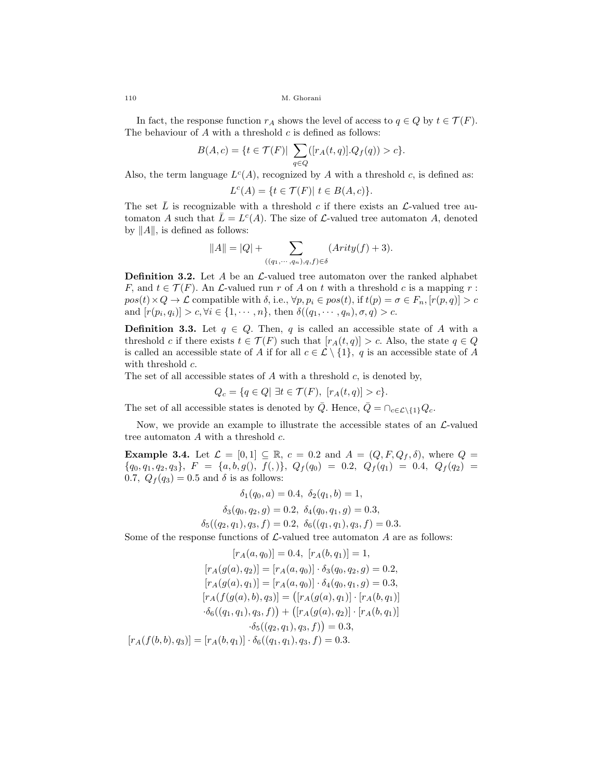In fact, the response function  $r_A$  shows the level of access to  $q \in Q$  by  $t \in \mathcal{T}(F)$ . The behaviour of  $A$  with a threshold  $c$  is defined as follows:

$$
B(A, c) = \{ t \in \mathcal{T}(F) | \sum_{q \in Q} ([r_A(t, q)]. Q_f(q)) > c \}.
$$

Also, the term language  $L^c(A)$ , recognized by A with a threshold c, is defined as:

$$
L^{c}(A) = \{ t \in \mathcal{T}(F) | t \in B(A, c) \}.
$$

The set  $\overline{L}$  is recognizable with a threshold c if there exists an  $\mathcal{L}$ -valued tree automaton A such that  $\overline{L} = L^c(A)$ . The size of L-valued tree automaton A, denoted by  $||A||$ , is defined as follows:

$$
||A|| = |Q| + \sum_{((q_1,\cdots,q_n),q,f)\in\delta} (Arity(f) + 3).
$$

**Definition 3.2.** Let A be an  $\mathcal{L}\text{-}$  valued tree automaton over the ranked alphabet F, and  $t \in \mathcal{T}(F)$ . An  $\mathcal{L}\text{-valued run } r$  of A on t with a threshold c is a mapping r:  $pos(t) \times Q \to \mathcal{L}$  compatible with  $\delta$ , i.e.,  $\forall p, p_i \in pos(t)$ , if  $t(p) = \sigma \in F_n$ ,  $[r(p, q)] > c$ and  $[r(p_i, q_i)] > c, \forall i \in \{1, \cdots, n\}$ , then  $\delta((q_1, \cdots, q_n), \sigma, q) > c$ .

**Definition 3.3.** Let  $q \in Q$ . Then, q is called an accessible state of A with a threshold c if there exists  $t \in \mathcal{T}(F)$  such that  $[r_A(t,q)] > c$ . Also, the state  $q \in Q$ is called an accessible state of A if for all  $c \in \mathcal{L} \setminus \{1\}$ , q is an accessible state of A with threshold  $c$ .

The set of all accessible states of A with a threshold c, is denoted by,

$$
Q_c = \{q \in Q | \exists t \in \mathcal{T}(F), \ [r_A(t,q)] > c\}.
$$

The set of all accessible states is denoted by  $\overline{Q}$ . Hence,  $\overline{Q} = \bigcap_{c \in \mathcal{L}\setminus\{1\}} Q_c$ .

Now, we provide an example to illustrate the accessible states of an  $\mathcal{L}\text{-valued}$ tree automaton  $A$  with a threshold  $c$ .

**Example 3.4.** Let  $\mathcal{L} = [0, 1] \subseteq \mathbb{R}$ ,  $c = 0.2$  and  $A = (Q, F, Q_f, \delta)$ , where  $Q =$  ${q_0, q_1, q_2, q_3}, F = {a, b, g(), f(),}, Q_f(q_0) = 0.2, Q_f(q_1) = 0.4, Q_f(q_2) =$ 0.7,  $Q_f(q_3) = 0.5$  and  $\delta$  is as follows:

$$
\delta_1(q_0, a) = 0.4, \ \delta_2(q_1, b) = 1,
$$
  

$$
\delta_3(q_0, q_2, g) = 0.2, \ \delta_4(q_0, q_1, g) = 0.3,
$$
  

$$
\delta_5((q_2, q_1), q_3, f) = 0.2, \ \delta_6((q_1, q_1), q_3, f) = 0.3.
$$

Some of the response functions of  $\mathcal{L}\text{-valued tree automaton }A$  are as follows:

$$
[r_A(a, q_0)] = 0.4, [r_A(b, q_1)] = 1,
$$
  
\n
$$
[r_A(g(a), q_2)] = [r_A(a, q_0)] \cdot \delta_3(q_0, q_2, g) = 0.2,
$$
  
\n
$$
[r_A(g(a), q_1)] = [r_A(a, q_0)] \cdot \delta_4(q_0, q_1, g) = 0.3,
$$
  
\n
$$
[r_A(f(g(a), b), q_3)] = ([r_A(g(a), q_1)] \cdot [r_A(b, q_1)]
$$
  
\n
$$
\cdot \delta_6((q_1, q_1), q_3, f)) + ([r_A(g(a), q_2)] \cdot [r_A(b, q_1)]
$$
  
\n
$$
\cdot \delta_5((q_2, q_1), q_3, f)) = 0.3,
$$
  
\n
$$
[r_A(f(b, b), q_3)] = [r_A(b, q_1)] \cdot \delta_6((q_1, q_1), q_3, f) = 0.3.
$$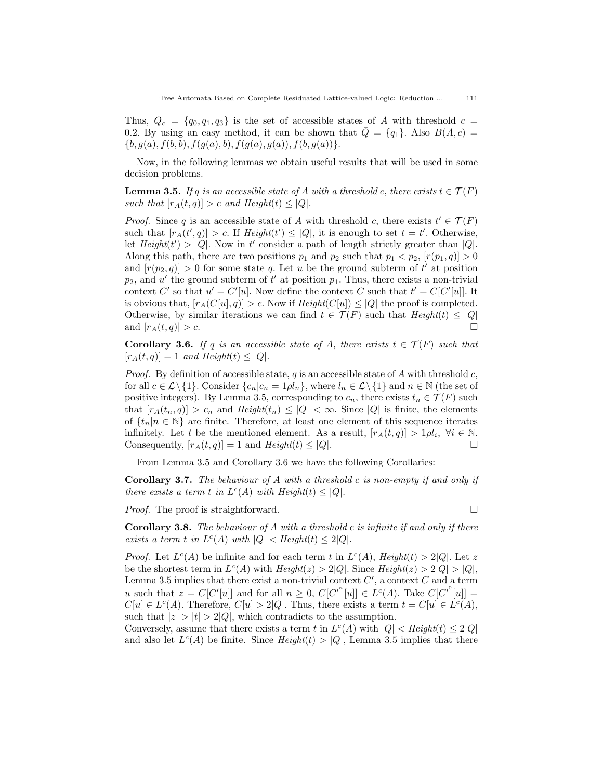Thus,  $Q_c = \{q_0, q_1, q_3\}$  is the set of accessible states of A with threshold  $c =$ 0.2. By using an easy method, it can be shown that  $\overline{Q} = \{q_1\}$ . Also  $B(A, c) =$  $\{b, g(a), f(b, b), f(g(a), b), f(g(a), g(a)), f(b, g(a))\}.$ 

Now, in the following lemmas we obtain useful results that will be used in some decision problems.

**Lemma 3.5.** If q is an accessible state of A with a threshold c, there exists  $t \in \mathcal{T}(F)$ such that  $[r_A(t, q)] > c$  and  $Height(t) \leq |Q|$ .

*Proof.* Since q is an accessible state of A with threshold c, there exists  $t' \in \mathcal{T}(F)$ such that  $[r_A(t', q)] > c$ . If  $Height(t') \leq |Q|$ , it is enough to set  $t = t'$ . Otherwise, let  $Height(t') > |Q|$ . Now in t' consider a path of length strictly greater than |Q|. Along this path, there are two positions  $p_1$  and  $p_2$  such that  $p_1 < p_2$ ,  $[r(p_1, q)] > 0$ and  $[r(p_2, q)] > 0$  for some state q. Let u be the ground subterm of t' at position  $p_2$ , and u' the ground subterm of t' at position  $p_1$ . Thus, there exists a non-trivial context C' so that  $u' = C'[u]$ . Now define the context C such that  $t' = C[C'[u]]$ . It is obvious that,  $[r_A(C[u], q)] > c$ . Now if  $Height(C[u]) \leq |Q|$  the proof is completed. Otherwise, by similar iterations we can find  $t \in \mathcal{T}(F)$  such that  $Height(t) \leq |Q|$ and  $[r_A(t,q)] > c$ .

**Corollary 3.6.** If q is an accessible state of A, there exists  $t \in \mathcal{T}(F)$  such that  $[r_A(t, q)] = 1$  and Height(t)  $\leq |Q|$ .

*Proof.* By definition of accessible state, q is an accessible state of A with threshold c, for all  $c \in \mathcal{L}\setminus\{1\}$ . Consider  $\{c_n|c_n=1\rho l_n\}$ , where  $l_n \in \mathcal{L}\setminus\{1\}$  and  $n \in \mathbb{N}$  (the set of positive integers). By Lemma 3.5, corresponding to  $c_n$ , there exists  $t_n \in \mathcal{T}(F)$  such that  $[r_A(t_n, q)] > c_n$  and  $Height(t_n) \leq |Q| < \infty$ . Since  $|Q|$  is finite, the elements of  $\{t_n|n \in \mathbb{N}\}\$ are finite. Therefore, at least one element of this sequence iterates infinitely. Let t be the mentioned element. As a result,  $[r_A(t,q)] > 1 \rho l_i, \forall i \in \mathbb{N}$ . Consequently,  $[r_A(t, q)] = 1$  and  $Height(t) \leq |Q|$ .

From Lemma 3.5 and Corollary 3.6 we have the following Corollaries:

**Corollary 3.7.** The behaviour of A with a threshold c is non-empty if and only if there exists a term t in  $L^c(A)$  with Height $(t) \leq |Q|$ .

*Proof.* The proof is straightforward.  $\square$ 

**Corollary 3.8.** The behaviour of A with a threshold c is infinite if and only if there exists a term t in  $L^c(A)$  with  $|Q| < Height(t) \leq 2|Q|$ .

*Proof.* Let  $L^c(A)$  be infinite and for each term t in  $L^c(A)$ , Height(t) > 2|Q|. Let z be the shortest term in  $L^c(A)$  with  $Height(z) > 2|Q|$ . Since  $Height(z) > 2|Q| > |Q|$ , Lemma 3.5 implies that there exist a non-trivial context  $C'$ , a context  $C$  and a term u such that  $z = C[C'[u]]$  and for all  $n \geq 0$ ,  $C[C^{n}[u]] \in L^{c}(A)$ . Take  $C[C^{n}[u]] =$  $C[u] \in L^c(A)$ . Therefore,  $C[u] > 2|Q|$ . Thus, there exists a term  $t = C[u] \in L^c(A)$ , such that  $|z| > |t| > 2|Q|$ , which contradicts to the assumption.

Conversely, assume that there exists a term t in  $L<sup>c</sup>(A)$  with  $|Q| <$  Height(t)  $\leq 2|Q|$ and also let  $L^{c}(A)$  be finite. Since  $Height(t) > |Q|$ , Lemma 3.5 implies that there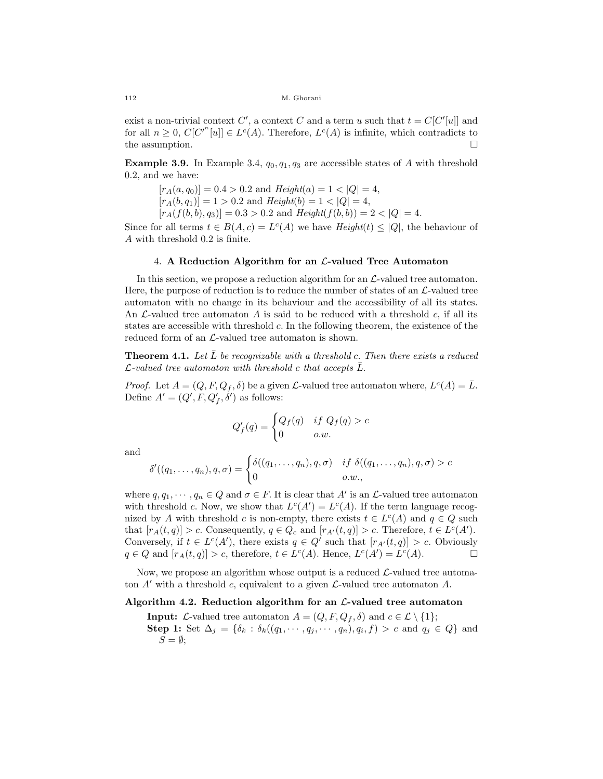exist a non-trivial context C', a context C and a term u such that  $t = C[C'[u]]$  and for all  $n \geq 0$ ,  $C[C^{n'}[u]] \in L^{c}(A)$ . Therefore,  $L^{c}(A)$  is infinite, which contradicts to the assumption.  $\Box$ 

**Example 3.9.** In Example 3.4,  $q_0, q_1, q_3$  are accessible states of A with threshold 0.2, and we have:

 $[r_A(a, q_0)] = 0.4 > 0.2$  and  $Height(a) = 1 < |Q| = 4$ ,  $[r_A(b, q_1)] = 1 > 0.2$  and  $Height(b) = 1 < |Q| = 4$ ,  $[r_A(f(b, b), q_3)] = 0.3 > 0.2$  and  $Height(f(b, b)) = 2 < |Q| = 4$ .

Since for all terms  $t \in B(A, c) = L^c(A)$  we have  $Height(t) \leq |Q|$ , the behaviour of A with threshold 0.2 is finite.

### 4. A Reduction Algorithm for an  $\mathcal{L}\text{-}$ valued Tree Automaton

In this section, we propose a reduction algorithm for an  $\mathcal{L}\text{-valued tree automaton.}$ Here, the purpose of reduction is to reduce the number of states of an  $\mathcal{L}\text{-}$ valued tree automaton with no change in its behaviour and the accessibility of all its states. An  $\mathcal{L}\text{-}$ valued tree automaton  $A$  is said to be reduced with a threshold c, if all its states are accessible with threshold c. In the following theorem, the existence of the reduced form of an  $\mathcal{L}\text{-valued tree automaton is shown.}$ 

**Theorem 4.1.** Let  $\overline{L}$  be recognizable with a threshold c. Then there exists a reduced  $\mathcal{L}\text{-}valued$  tree automaton with threshold c that accepts  $\bar{L}$ .

*Proof.* Let  $A = (Q, F, Q_f, \delta)$  be a given  $\mathcal{L}$ -valued tree automaton where,  $L^c(A) = \overline{L}$ . Define  $A' = (Q', F, Q'_f, \delta')$  as follows:

$$
Q'_f(q) = \begin{cases} Q_f(q) & \text{if } Q_f(q) > c \\ 0 & o.w. \end{cases}
$$

and

$$
\delta'((q_1,\ldots,q_n),q,\sigma)=\begin{cases}\delta((q_1,\ldots,q_n),q,\sigma) & \text{if } \delta((q_1,\ldots,q_n),q,\sigma)>c\\0&\text{if } \delta'(q_1,\ldots,q_n)<>c\end{cases}
$$

where  $q, q_1, \dots, q_n \in Q$  and  $\sigma \in F$ . It is clear that A' is an  $\mathcal{L}$ -valued tree automaton with threshold c. Now, we show that  $L^{c}(A') = L^{c}(A)$ . If the term language recognized by A with threshold c is non-empty, there exists  $t \in L^c(A)$  and  $q \in Q$  such that  $[r_A(t,q)] > c$ . Consequently,  $q \in Q_c$  and  $[r_{A'}(t,q)] > c$ . Therefore,  $t \in L^c(A')$ . Conversely, if  $t \in L^c(A')$ , there exists  $q \in Q'$  such that  $[r_{A'}(t,q)] > c$ . Obviously  $q \in Q$  and  $[r_A(t,q)] > c$ , therefore,  $t \in L^c(A)$ . Hence,  $L^c(A') = L^c(A)$ .

Now, we propose an algorithm whose output is a reduced  $\mathcal{L}\text{-valued tree automa-}$ ton  $A'$  with a threshold c, equivalent to a given  $\mathcal{L}\text{-valued tree automaton }A$ .

### Algorithm 4.2. Reduction algorithm for an  $\mathcal{L}\text{-}$  valued tree automaton

**Input:**  $\mathcal{L}\text{-valued tree automaton } A = (Q, F, Q_f, \delta) \text{ and } c \in \mathcal{L} \setminus \{1\};$ **Step 1:** Set  $\Delta_j = \{\delta_k : \delta_k((q_1, \dots, q_j, \dots, q_n), q_i, f) > c \text{ and } q_j \in Q\}$  and  $S = \emptyset;$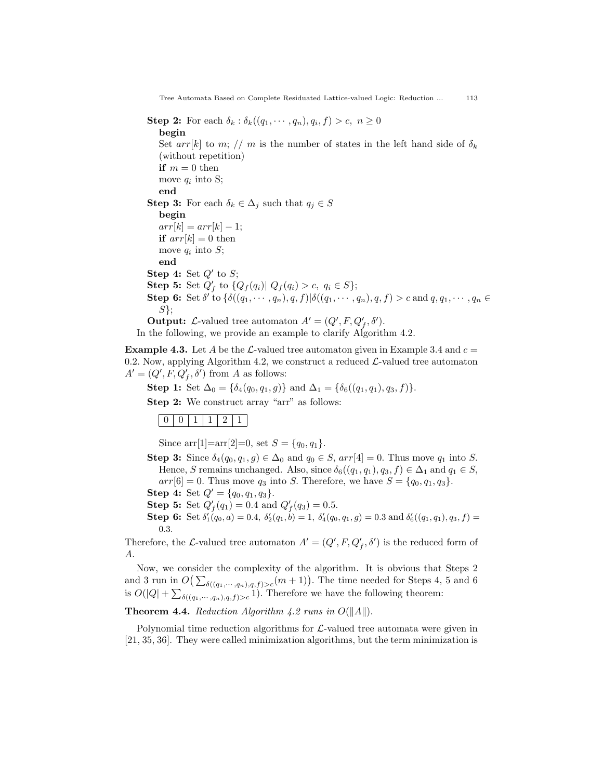Tree Automata Based on Complete Residuated Lattice-valued Logic: Reduction ... 113

**Step 2:** For each  $\delta_k : \delta_k((q_1, \dots, q_n), q_i, f) > c, n \ge 0$ begin Set arr[k] to m; // m is the number of states in the left hand side of  $\delta_k$ (without repetition) if  $m = 0$  then move  $q_i$  into S; end **Step 3:** For each  $\delta_k \in \Delta_j$  such that  $q_j \in S$ begin  $arr[k] = arr[k] - 1;$ if  $arr[k] = 0$  then move  $q_i$  into  $S$ ; end Step 4: Set  $Q'$  to  $S$ ; **Step 5:** Set  $Q'_f$  to  $\{Q_f(q_i) | Q_f(q_i) > c, q_i \in S\};$ **Step 6:** Set  $\delta'$  to  $\{\delta((q_1, \dots, q_n), q, f)| \delta((q_1, \dots, q_n), q, f) > c \text{ and } q, q_1, \dots, q_n \in$  $S$ }; **Output:** L-valued tree automaton  $A' = (Q', F, Q'_f, \delta').$ 

In the following, we provide an example to clarify Algorithm 4.2.

**Example 4.3.** Let A be the L-valued tree automaton given in Example 3.4 and  $c =$ 0.2. Now, applying Algorithm 4.2, we construct a reduced  $\mathcal{L}\text{-valued tree automaton}$  $A' = (Q', F, Q'_f, \delta')$  from A as follows:

Step 1: Set  $\Delta_0 = {\delta_4(q_0, q_1, g)}$  and  $\Delta_1 = {\delta_6((q_1, q_1), q_3, f)}$ .

Step 2: We construct array "arr" as follows:

## $0 | 0 | 1 | 1 | 2 | 1$

Since  $\arctan[1]=\arctan[2]=0$ , set  $S = \{q_0, q_1\}.$ 

- Step 3: Since  $\delta_4(q_0, q_1, g) \in \Delta_0$  and  $q_0 \in S$ ,  $arr[4] = 0$ . Thus move  $q_1$  into S. Hence, S remains unchanged. Also, since  $\delta_6((q_1, q_1), q_3, f) \in \Delta_1$  and  $q_1 \in S$ ,  $arr[6] = 0$ . Thus move  $q_3$  into S. Therefore, we have  $S = \{q_0, q_1, q_3\}$ . **Step 4:** Set  $Q' = \{q_0, q_1, q_3\}.$
- **Step 5:** Set  $Q'_f(q_1) = 0.4$  and  $Q'_f(q_3) = 0.5$ .
- **Step 6:** Set  $\delta'_1(q_0, a) = 0.4$ ,  $\delta'_2(q_1, b) = 1$ ,  $\delta'_4(q_0, q_1, g) = 0.3$  and  $\delta'_6((q_1, q_1), q_3, f) =$ 0.3.

Therefore, the L-valued tree automaton  $A' = (Q', F, Q'_f, \delta')$  is the reduced form of A.

Now, we consider the complexity of the algorithm. It is obvious that Steps 2 and 3 run in  $O\left(\sum_{\delta((q_1,\cdots,q_n),q,f)>c}(m+1)\right)$ . The time needed for Steps 4, 5 and 6 is  $O(|Q| + \sum_{\delta((q_1,\dots,q_n),q,f)>c} 1)$ . Therefore we have the following theorem:

## **Theorem 4.4.** Reduction Algorithm 4.2 runs in  $O(||A||)$ .

Polynomial time reduction algorithms for  $\mathcal{L}\text{-valued}$  tree automata were given in [21, 35, 36]. They were called minimization algorithms, but the term minimization is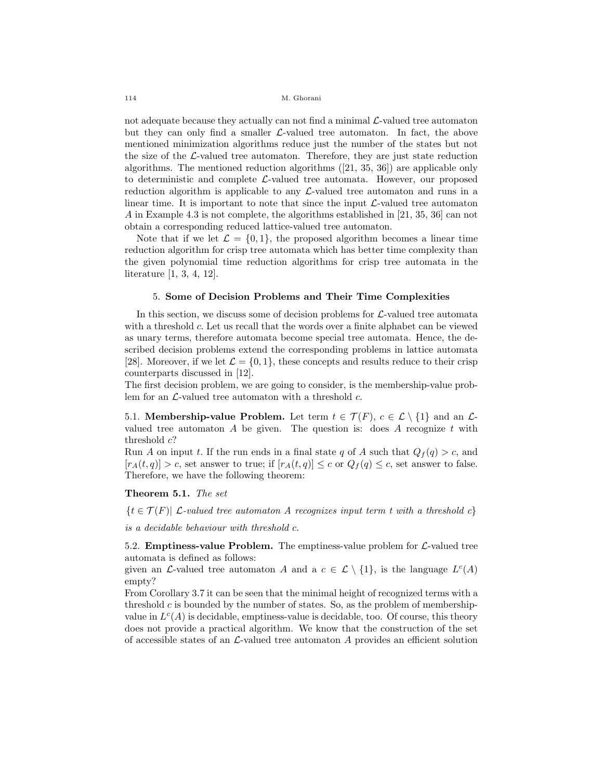not adequate because they actually can not find a minimal  $\mathcal{L}\text{-valued tree automaton}$ but they can only find a smaller  $\mathcal{L}\text{-valued tree}$  automaton. In fact, the above mentioned minimization algorithms reduce just the number of the states but not the size of the  $\mathcal{L}\text{-valued tree}$  automaton. Therefore, they are just state reduction algorithms. The mentioned reduction algorithms ([21, 35, 36]) are applicable only to deterministic and complete  $\mathcal{L}\text{-valued}$  tree automata. However, our proposed reduction algorithm is applicable to any  $\mathcal{L}\text{-}$ valued tree automaton and runs in a linear time. It is important to note that since the input  $\mathcal{L}\text{-valued tree automaton}$ A in Example 4.3 is not complete, the algorithms established in [21, 35, 36] can not obtain a corresponding reduced lattice-valued tree automaton.

Note that if we let  $\mathcal{L} = \{0, 1\}$ , the proposed algorithm becomes a linear time reduction algorithm for crisp tree automata which has better time complexity than the given polynomial time reduction algorithms for crisp tree automata in the literature [1, 3, 4, 12].

### 5. Some of Decision Problems and Their Time Complexities

In this section, we discuss some of decision problems for  $\mathcal{L}\text{-}$  valued tree automata with a threshold c. Let us recall that the words over a finite alphabet can be viewed as unary terms, therefore automata become special tree automata. Hence, the described decision problems extend the corresponding problems in lattice automata [28]. Moreover, if we let  $\mathcal{L} = \{0, 1\}$ , these concepts and results reduce to their crisp counterparts discussed in [12].

The first decision problem, we are going to consider, is the membership-value problem for an  $\mathcal{L}\text{-valued tree automaton with a threshold } c$ .

5.1. Membership-value Problem. Let term  $t \in \mathcal{T}(F)$ ,  $c \in \mathcal{L} \setminus \{1\}$  and an  $\mathcal{L}$ valued tree automaton  $A$  be given. The question is: does  $A$  recognize  $t$  with threshold c?

Run A on input t. If the run ends in a final state q of A such that  $Q_f(q) > c$ , and  $[r_A(t, q)] > c$ , set answer to true; if  $[r_A(t, q)] \leq c$  or  $Q_f(q) \leq c$ , set answer to false. Therefore, we have the following theorem:

### Theorem 5.1. The set

 $\{t \in \mathcal{T}(F) | \mathcal{L}\text{-valued tree automaton } A \text{ recognizes input term } t \text{ with a threshold } c\}$ 

is a decidable behaviour with threshold c.

5.2. **Emptiness-value Problem.** The emptiness-value problem for  $\mathcal{L}\text{-}$  valued tree automata is defined as follows:

given an *L*-valued tree automaton A and a  $c \in \mathcal{L} \setminus \{1\}$ , is the language  $L^c(A)$ empty?

From Corollary 3.7 it can be seen that the minimal height of recognized terms with a threshold c is bounded by the number of states. So, as the problem of membershipvalue in  $L<sup>c</sup>(A)$  is decidable, emptiness-value is decidable, too. Of course, this theory does not provide a practical algorithm. We know that the construction of the set of accessible states of an  $\mathcal{L}\text{-}$ valued tree automaton A provides an efficient solution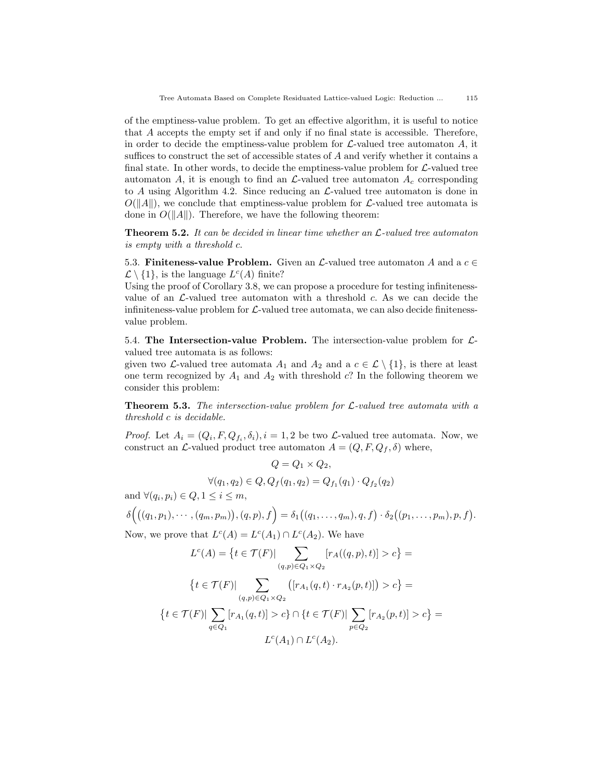of the emptiness-value problem. To get an effective algorithm, it is useful to notice that A accepts the empty set if and only if no final state is accessible. Therefore, in order to decide the emptiness-value problem for  $\mathcal{L}\text{-valued tree automaton }A$ , it suffices to construct the set of accessible states of  $A$  and verify whether it contains a final state. In other words, to decide the emptiness-value problem for  $\mathcal{L}\text{-}$  valued tree automaton A, it is enough to find an  $\mathcal{L}\text{-}$ valued tree automaton  $A_c$  corresponding to A using Algorithm 4.2. Since reducing an  $\mathcal{L}\text{-}$ valued tree automaton is done in  $O(||A||)$ , we conclude that emptiness-value problem for  $\mathcal{L}\text{-}$ valued tree automata is done in  $O(||A||)$ . Therefore, we have the following theorem:

**Theorem 5.2.** It can be decided in linear time whether an  $\mathcal{L}\text{-}valued$  tree automaton is empty with a threshold c.

5.3. Finiteness-value Problem. Given an  $\mathcal{L}\text{-}$ valued tree automaton A and a  $c \in$  $\mathcal{L} \setminus \{1\}$ , is the language  $L^c(A)$  finite?

Using the proof of Corollary 3.8, we can propose a procedure for testing infinitenessvalue of an  $\mathcal{L}\text{-}$ valued tree automaton with a threshold c. As we can decide the infiniteness-value problem for  $\mathcal{L}\text{-}$  valued tree automata, we can also decide finitenessvalue problem.

5.4. The Intersection-value Problem. The intersection-value problem for  $\mathcal{L}$ valued tree automata is as follows:

given two *L*-valued tree automata  $A_1$  and  $A_2$  and a  $c \in \mathcal{L} \setminus \{1\}$ , is there at least one term recognized by  $A_1$  and  $A_2$  with threshold c? In the following theorem we consider this problem:

**Theorem 5.3.** The intersection-value problem for  $\mathcal{L}\text{-}valued$  tree automata with a threshold c is decidable.

*Proof.* Let  $A_i = (Q_i, F, Q_{f_i}, \delta_i), i = 1, 2$  be two *L*-valued tree automata. Now, we construct an  $\mathcal{L}\text{-valued product tree automaton } A = (Q, F, Q_f, \delta)$  where,

$$
Q = Q_1 \times Q_2,
$$
  

$$
\forall (q_1, q_2) \in Q, Q_f(q_1, q_2) = Q_{f_1}(q_1) \cdot Q_{f_2}(q_2)
$$

and  $\forall (q_i, p_i) \in Q, 1 \leq i \leq m$ ,

$$
\delta\Big(\big((q_1,p_1),\cdots,(q_m,p_m)\big),(q,p),f\Big)=\delta_1\big((q_1,\ldots,q_m),q,f\big)\cdot\delta_2\big((p_1,\ldots,p_m),p,f\big).
$$

Now, we prove that  $L^c(A) = L^c(A_1) \cap L^c(A_2)$ . We have

$$
L^{c}(A) = \{t \in \mathcal{T}(F)| \sum_{(q,p)\in Q_{1}\times Q_{2}} [r_{A}((q,p),t)] > c\} =
$$

$$
\{t \in \mathcal{T}(F)| \sum_{(q,p)\in Q_{1}\times Q_{2}} ([r_{A_{1}}(q,t) \cdot r_{A_{2}}(p,t)]) > c\} =
$$

$$
\{t \in \mathcal{T}(F)| \sum_{q\in Q_{1}} [r_{A_{1}}(q,t)] > c\} \cap \{t \in \mathcal{T}(F)| \sum_{p\in Q_{2}} [r_{A_{2}}(p,t)] > c\} =
$$

$$
L^{c}(A_{1}) \cap L^{c}(A_{2}).
$$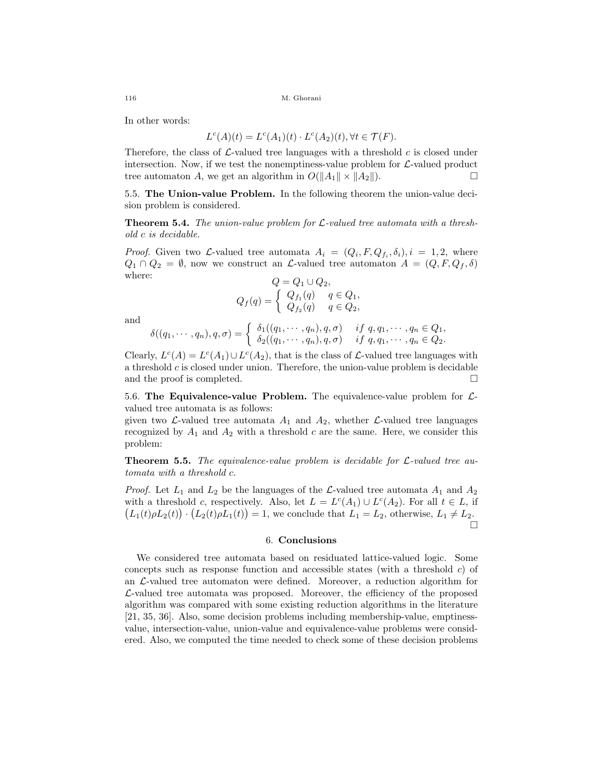In other words:

$$
L^{c}(A)(t) = L^{c}(A_1)(t) \cdot L^{c}(A_2)(t), \forall t \in \mathcal{T}(F).
$$

Therefore, the class of  $\mathcal{L}\text{-}$ valued tree languages with a threshold c is closed under intersection. Now, if we test the nonemptiness-value problem for  $\mathcal{L}\text{-valued product}$ tree automaton A, we get an algorithm in  $O(||A_1|| \times ||A_2||)$ .

5.5. The Union-value Problem. In the following theorem the union-value decision problem is considered.

**Theorem 5.4.** The union-value problem for  $\mathcal{L}\text{-}$ valued tree automata with a threshold c is decidable.

*Proof.* Given two *L*-valued tree automata  $A_i = (Q_i, F, Q_{f_i}, \delta_i), i = 1, 2$ , where  $Q_1 \cap Q_2 = \emptyset$ , now we construct an *L*-valued tree automaton  $A = (Q, F, Q_f, \delta)$ where:  $Q = Q_1 \cup Q_2,$ 

$$
Q = Q_1 \cup Q_2,
$$
  

$$
Q_f(q) = \begin{cases} Q_{f_1}(q) & q \in Q_1, \\ Q_{f_2}(q) & q \in Q_2, \end{cases}
$$

and

$$
\delta((q_1,\dots,q_n),q,\sigma)=\begin{cases}\delta_1((q_1,\dots,q_n),q,\sigma) & \text{if } q,q_1,\dots,q_n\in Q_1, \\ \delta_2((q_1,\dots,q_n),q,\sigma) & \text{if } q,q_1,\dots,q_n\in Q_2.\end{cases}
$$

Clearly,  $L^{c}(A) = L^{c}(A_1) \cup L^{c}(A_2)$ , that is the class of  $\mathcal{L}$ -valued tree languages with a threshold  $c$  is closed under union. Therefore, the union-value problem is decidable and the proof is completed.

5.6. The Equivalence-value Problem. The equivalence-value problem for  $\mathcal{L}$ valued tree automata is as follows:

given two  $\mathcal{L}\text{-valued tree automata } A_1$  and  $A_2$ , whether  $\mathcal{L}\text{-valued tree languages}$ recognized by  $A_1$  and  $A_2$  with a threshold c are the same. Here, we consider this problem:

**Theorem 5.5.** The equivalence-value problem is decidable for  $\mathcal{L}\text{-}valued$  tree automata with a threshold c.

*Proof.* Let  $L_1$  and  $L_2$  be the languages of the  $\mathcal{L}\text{-}$ valued tree automata  $A_1$  and  $A_2$ with a threshold c, respectively. Also, let  $L = L<sup>c</sup>(A<sub>1</sub>) \cup L<sup>c</sup>(A<sub>2</sub>)$ . For all  $t \in L$ , if  $(L_1(t)\rho L_2(t)) \cdot (L_2(t)\rho L_1(t)) = 1$ , we conclude that  $L_1 = L_2$ , otherwise,  $L_1 \neq L_2$ . П

## 6. Conclusions

We considered tree automata based on residuated lattice-valued logic. Some concepts such as response function and accessible states (with a threshold c) of an L-valued tree automaton were defined. Moreover, a reduction algorithm for  $\mathcal{L}\text{-valued tree automata was proposed. Moreover, the efficiency of the proposed$ algorithm was compared with some existing reduction algorithms in the literature [21, 35, 36]. Also, some decision problems including membership-value, emptinessvalue, intersection-value, union-value and equivalence-value problems were considered. Also, we computed the time needed to check some of these decision problems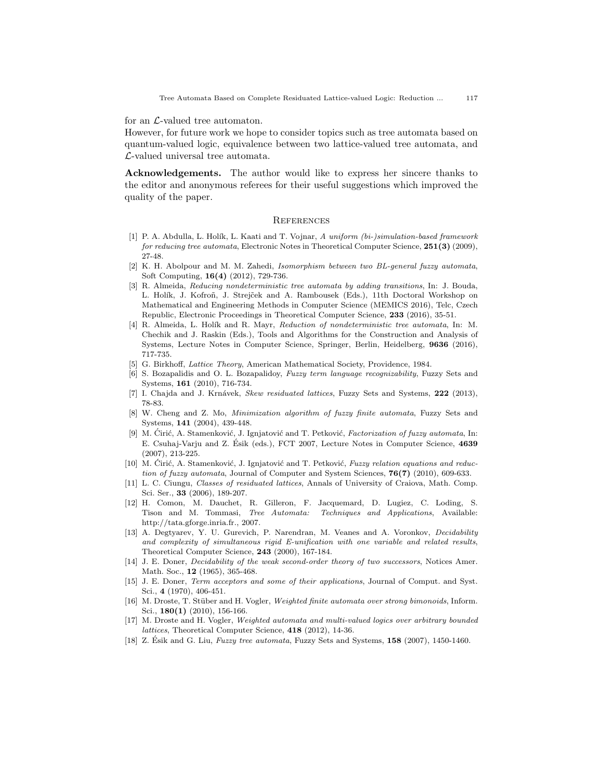for an  $\mathcal{L}\text{-valued tree automaton.}$ 

However, for future work we hope to consider topics such as tree automata based on quantum-valued logic, equivalence between two lattice-valued tree automata, and L-valued universal tree automata.

Acknowledgements. The author would like to express her sincere thanks to the editor and anonymous referees for their useful suggestions which improved the quality of the paper.

### **REFERENCES**

- [1] P. A. Abdulla, L. Holík, L. Kaati and T. Vojnar, A uniform (bi-)simulation-based framework for reducing tree automata, Electronic Notes in Theoretical Computer Science, 251(3) (2009), 27-48.
- [2] K. H. Abolpour and M. M. Zahedi, Isomorphism between two BL-general fuzzy automata, Soft Computing, 16(4) (2012), 729-736.
- [3] R. Almeida, Reducing nondeterministic tree automata by adding transitions, In: J. Bouda, L. Holík, J. Kofroñ, J. Strejček and A. Rambousek (Eds.), 11th Doctoral Workshop on Mathematical and Engineering Methods in Computer Science (MEMICS 2016), Telc, Czech Republic, Electronic Proceedings in Theoretical Computer Science, 233 (2016), 35-51.
- [4] R. Almeida, L. Holík and R. Mayr, Reduction of nondeterministic tree automata, In: M. Chechik and J. Raskin (Eds.), Tools and Algorithms for the Construction and Analysis of Systems, Lecture Notes in Computer Science, Springer, Berlin, Heidelberg, 9636 (2016), 717-735.
- [5] G. Birkhoff, Lattice Theory, American Mathematical Society, Providence, 1984.
- [6] S. Bozapalidis and O. L. Bozapalidoy, Fuzzy term language recognizability, Fuzzy Sets and Systems, 161 (2010), 716-734.
- [7] I. Chajda and J. Krnávek, Skew residuated lattices, Fuzzy Sets and Systems, 222 (2013), 78-83.
- [8] W. Cheng and Z. Mo, Minimization algorithm of fuzzy finite automata, Fuzzy Sets and Systems, 141 (2004), 439-448.
- [9] M. Ćirić, A. Stamenković, J. Ignjatović and T. Petković, Factorization of fuzzy automata, In: E. Csuhaj-Varju and Z. Ésik (eds.), FCT 2007, Lecture Notes in Computer Science, 4639 (2007), 213-225.
- [10] M. Ćirić, A. Stamenković, J. Ignjatović and T. Petković, Fuzzy relation equations and reduction of fuzzy automata, Journal of Computer and System Sciences, 76(7) (2010), 609-633.
- [11] L. C. Ciungu, Classes of residuated lattices, Annals of University of Craiova, Math. Comp. Sci. Ser., 33 (2006), 189-207.
- [12] H. Comon, M. Dauchet, R. Gilleron, F. Jacquemard, D. Lugiez, C. Loding, S. Tison and M. Tommasi, Tree Automata: Techniques and Applications, Available: http://tata.gforge.inria.fr., 2007.
- [13] A. Degtyarev, Y. U. Gurevich, P. Narendran, M. Veanes and A. Voronkov, Decidability and complexity of simultaneous rigid E-unification with one variable and related results, Theoretical Computer Science, 243 (2000), 167-184.
- [14] J. E. Doner, Decidability of the weak second-order theory of two successors, Notices Amer. Math. Soc., **12** (1965), 365-468.
- [15] J. E. Doner, Term acceptors and some of their applications, Journal of Comput. and Syst. Sci., 4 (1970), 406-451.
- [16] M. Droste, T. Stüber and H. Vogler, Weighted finite automata over strong bimonoids, Inform. Sci., 180(1) (2010), 156-166.
- [17] M. Droste and H. Vogler, Weighted automata and multi-valued logics over arbitrary bounded lattices, Theoretical Computer Science, 418 (2012), 14-36.
- [18] Z. Ésik and G. Liu, Fuzzy tree automata, Fuzzy Sets and Systems,  $158$  (2007), 1450-1460.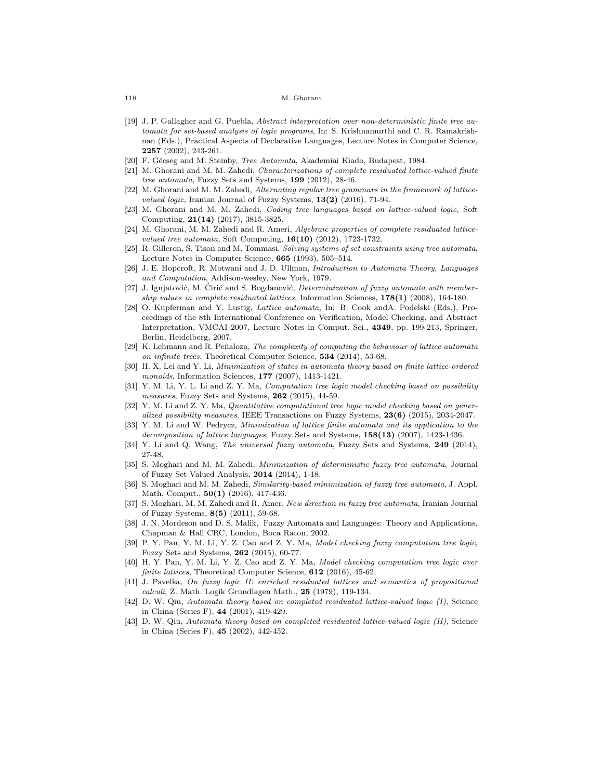- [19] J. P. Gallagher and G. Puebla, Abstract interpretation over non-deterministic finite tree automata for set-based analysis of logic programs, In: S. Krishnamurthi and C. R. Ramakrishnan (Eds.), Practical Aspects of Declarative Languages, Lecture Notes in Computer Science, 2257 (2002), 243-261.
- [20] F. Gécseg and M. Steinby, *Tree Automata*, Akademiai Kiado, Budapest, 1984.
- [21] M. Ghorani and M. M. Zahedi, Characterizations of complete residuated lattice-valued finite tree automata, Fuzzy Sets and Systems, 199 (2012), 28-46.
- [22] M. Ghorani and M. M. Zahedi, Alternating regular tree grammars in the framework of latticevalued logic, Iranian Journal of Fuzzy Systems,  $13(2)$  (2016), 71-94.
- [23] M. Ghorani and M. M. Zahedi, Coding tree languages based on lattice-valued logic, Soft Computing, 21(14) (2017), 3815-3825.
- [24] M. Ghorani, M. M. Zahedi and R. Ameri, Algebraic properties of complete residuated lattice*valued tree automata*, Soft Computing,  $16(10)$   $(2012)$ , 1723-1732.
- [25] R. Gilleron, S. Tison and M. Tommasi, Solving systems of set constraints using tree automata, Lecture Notes in Computer Science, 665 (1993), 505–514.
- [26] J. E. Hopcroft, R. Motwani and J. D. Ullman, Introduction to Automata Theory, Languages and Computation, Addison-wesley, New York, 1979.
- [27] J. Ignjatović, M. Cirić and S. Bogdanović, *Determinization of fuzzy automata with member*ship values in complete residuated lattices, Information Sciences, 178(1) (2008), 164-180.
- [28] O. Kupferman and Y. Lustig, Lattice automata, In: B. Cook andA. Podelski (Eds.), Proceedings of the 8th International Conference on Verification, Model Checking, and Abstract Interpretation, VMCAI 2007, Lecture Notes in Comput. Sci., 4349, pp. 199-213, Springer, Berlin, Heidelberg, 2007.
- [29] K. Lehmann and R. Peñaloza, *The complexity of computing the behaviour of lattice automata* on infinite trees, Theoretical Computer Science, 534 (2014), 53-68.
- [30] H. X. Lei and Y. Li, *Minimization of states in automata theory based on finite lattice-ordered* monoids, Information Sciences, **177** (2007), 1413-1421.
- [31] Y. M. Li, Y. L. Li and Z. Y. Ma, Computation tree logic model checking based on possibility measures, Fuzzy Sets and Systems, 262 (2015), 44-59.
- [32] Y. M. Li and Z. Y. Ma. *Quantitative computational tree logic model checking based on gener*alized possibility measures, IEEE Transactions on Fuzzy Systems,  $23(6)$  (2015), 2034-2047.
- [33] Y. M. Li and W. Pedrycz, Minimization of lattice finite automata and its application to the decomposition of lattice languages, Fuzzy Sets and Systems, 158(13) (2007), 1423-1436.
- [34] Y. Li and Q. Wang, The universal fuzzy automata, Fuzzy Sets and Systems, 249 (2014), 27-48.
- [35] S. Moghari and M. M. Zahedi, *Minimization of deterministic fuzzy tree automata*, Journal of Fuzzy Set Valued Analysis, 2014 (2014), 1-18.
- [36] S. Moghari and M. M. Zahedi, Similarity-based minimization of fuzzy tree automata, J. Appl. Math. Comput., 50(1) (2016), 417-436.
- [37] S. Moghari, M. M. Zahedi and R. Amer, New direction in fuzzy tree automata, Iranian Journal of Fuzzy Systems, 8(5) (2011), 59-68.
- [38] J. N. Mordeson and D. S. Malik, Fuzzy Automata and Languages: Theory and Applications, Chapman & Hall CRC, London, Boca Raton, 2002.
- [39] P. Y. Pan, Y. M. Li, Y. Z. Cao and Z. Y. Ma, Model checking fuzzy computation tree logic, Fuzzy Sets and Systems, 262 (2015), 60-77.
- [40] H. Y. Pan, Y. M. Li, Y. Z. Cao and Z. Y. Ma, Model checking computation tree logic over finite lattices, Theoretical Computer Science, 612 (2016), 45-62.
- [41] J. Pavelka, On fuzzy logic II: enriched residuated lattices and semantics of propositional  $calculi$ , Z. Math. Logik Grundlagen Math.,  $25$  (1979), 119-134.
- [42] D. W. Qiu, Automata theory based on completed residuated lattice-valued logic (I), Science in China (Series F), 44 (2001), 419-429.
- [43] D. W. Qiu, Automata theory based on completed residuated lattice-valued logic (II), Science in China (Series F), 45 (2002), 442-452.